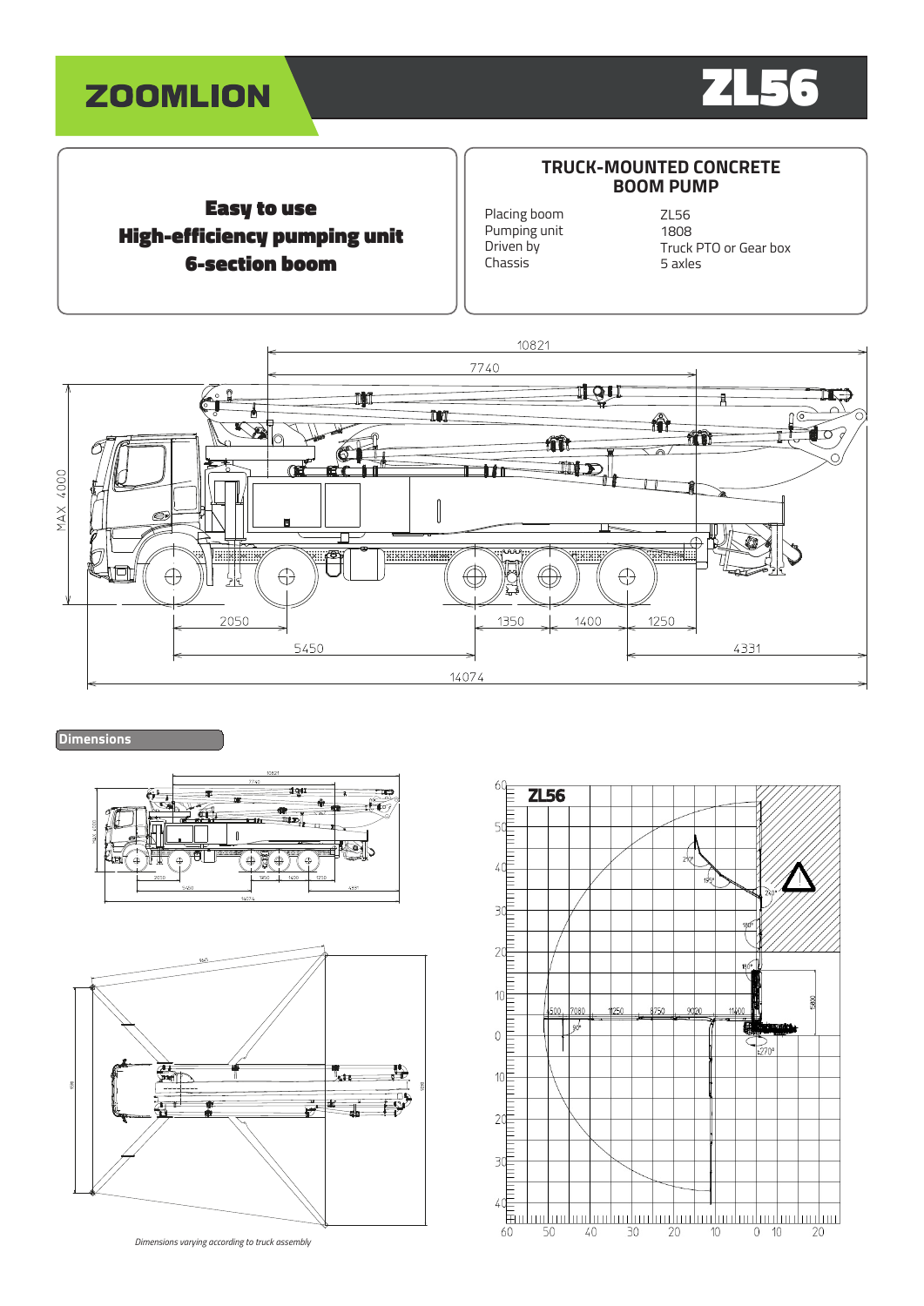



# Easy to use High-efficiency pumping unit 6-section boom

### **TRUCK-MOUNTED CONCRETE BOOM PUMP**

Placing boom Pumping unit Driven by Chassis

ZL56 1808 Truck PTO or Gear box 5 axles



# **Dimensions**





*Dimensions varying according to truck assembly*